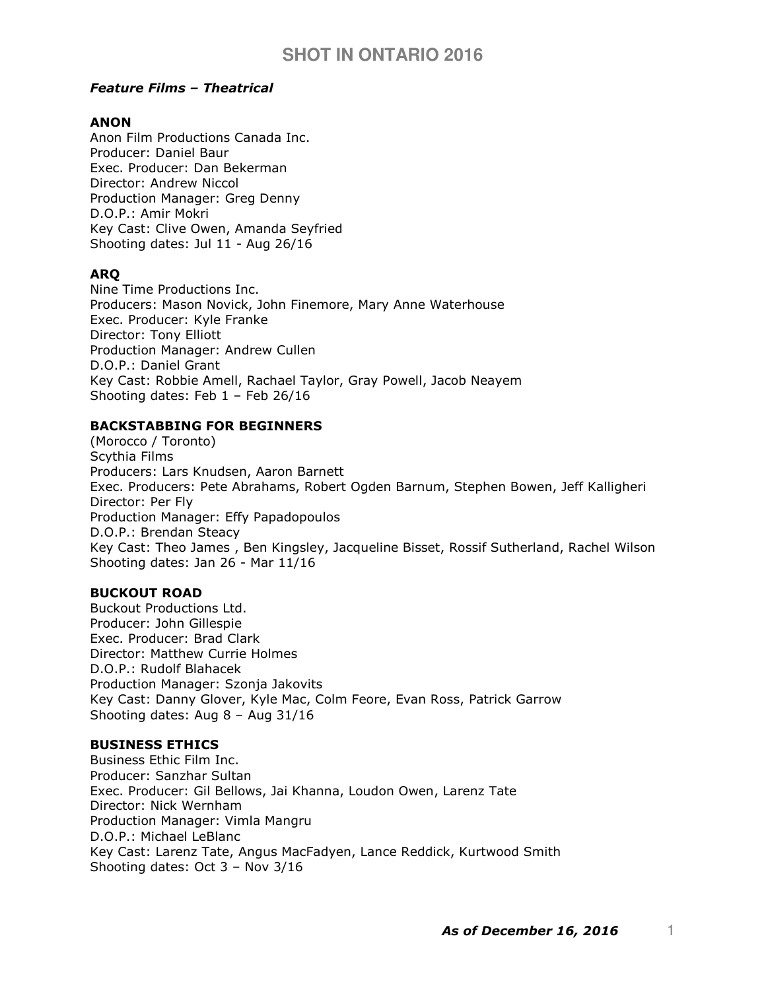# Feature Films – Theatrical

# ANON

Anon Film Productions Canada Inc. Producer: Daniel Baur Exec. Producer: Dan Bekerman Director: Andrew Niccol Production Manager: Greg Denny D.O.P.: Amir Mokri Key Cast: Clive Owen, Amanda Seyfried Shooting dates: Jul 11 - Aug 26/16

# ARQ

Nine Time Productions Inc. Producers: Mason Novick, John Finemore, Mary Anne Waterhouse Exec. Producer: Kyle Franke Director: Tony Elliott Production Manager: Andrew Cullen D.O.P.: Daniel Grant Key Cast: Robbie Amell, Rachael Taylor, Gray Powell, Jacob Neayem Shooting dates: Feb  $1 -$  Feb 26/16

# BACKSTABBING FOR BEGINNERS

(Morocco / Toronto) Scythia Films Producers: Lars Knudsen, Aaron Barnett Exec. Producers: Pete Abrahams, Robert Ogden Barnum, Stephen Bowen, Jeff Kalligheri Director: Per Fly Production Manager: Effy Papadopoulos D.O.P.: Brendan Steacy Key Cast: Theo James , Ben Kingsley, Jacqueline Bisset, Rossif Sutherland, Rachel Wilson Shooting dates: Jan 26 - Mar 11/16

# BUCKOUT ROAD

Buckout Productions Ltd. Producer: John Gillespie Exec. Producer: Brad Clark Director: Matthew Currie Holmes D.O.P.: Rudolf Blahacek Production Manager: Szonja Jakovits Key Cast: Danny Glover, Kyle Mac, Colm Feore, Evan Ross, Patrick Garrow Shooting dates: Aug 8 – Aug 31/16

# BUSINESS ETHICS

Business Ethic Film Inc. Producer: Sanzhar Sultan Exec. Producer: Gil Bellows, Jai Khanna, Loudon Owen, Larenz Tate Director: Nick Wernham Production Manager: Vimla Mangru D.O.P.: Michael LeBlanc Key Cast: Larenz Tate, Angus MacFadyen, Lance Reddick, Kurtwood Smith Shooting dates: Oct 3 – Nov 3/16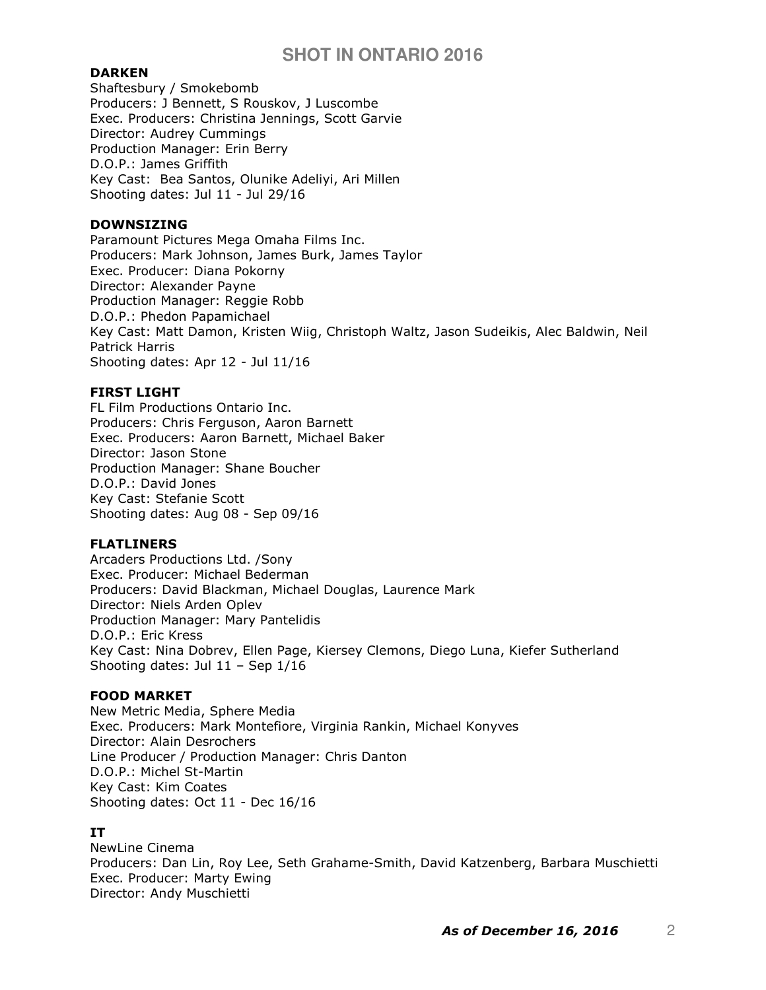## DARKEN

Shaftesbury / Smokebomb Producers: J Bennett, S Rouskov, J Luscombe Exec. Producers: Christina Jennings, Scott Garvie Director: Audrey Cummings Production Manager: Erin Berry D.O.P.: James Griffith Key Cast: Bea Santos, Olunike Adeliyi, Ari Millen Shooting dates: Jul 11 - Jul 29/16

### DOWNSIZING

Paramount Pictures Mega Omaha Films Inc. Producers: Mark Johnson, James Burk, James Taylor Exec. Producer: Diana Pokorny Director: Alexander Payne Production Manager: Reggie Robb D.O.P.: Phedon Papamichael Key Cast: Matt Damon, Kristen Wiig, Christoph Waltz, Jason Sudeikis, Alec Baldwin, Neil Patrick Harris Shooting dates: Apr 12 - Jul 11/16

### FIRST LIGHT

FL Film Productions Ontario Inc. Producers: Chris Ferguson, Aaron Barnett Exec. Producers: Aaron Barnett, Michael Baker Director: Jason Stone Production Manager: Shane Boucher D.O.P.: David Jones Key Cast: Stefanie Scott Shooting dates: Aug 08 - Sep 09/16

### FLATLINERS

Arcaders Productions Ltd. /Sony Exec. Producer: Michael Bederman Producers: David Blackman, Michael Douglas, Laurence Mark Director: Niels Arden Oplev Production Manager: Mary Pantelidis D.O.P.: Eric Kress Key Cast: Nina Dobrev, Ellen Page, Kiersey Clemons, Diego Luna, Kiefer Sutherland Shooting dates: Jul 11 – Sep 1/16

### FOOD MARKET

New Metric Media, Sphere Media Exec. Producers: Mark Montefiore, Virginia Rankin, Michael Konyves Director: Alain Desrochers Line Producer / Production Manager: Chris Danton D.O.P.: Michel St-Martin Key Cast: Kim Coates Shooting dates: Oct 11 - Dec 16/16

# IT

NewLine Cinema Producers: Dan Lin, Roy Lee, Seth Grahame-Smith, David Katzenberg, Barbara Muschietti Exec. Producer: Marty Ewing Director: Andy Muschietti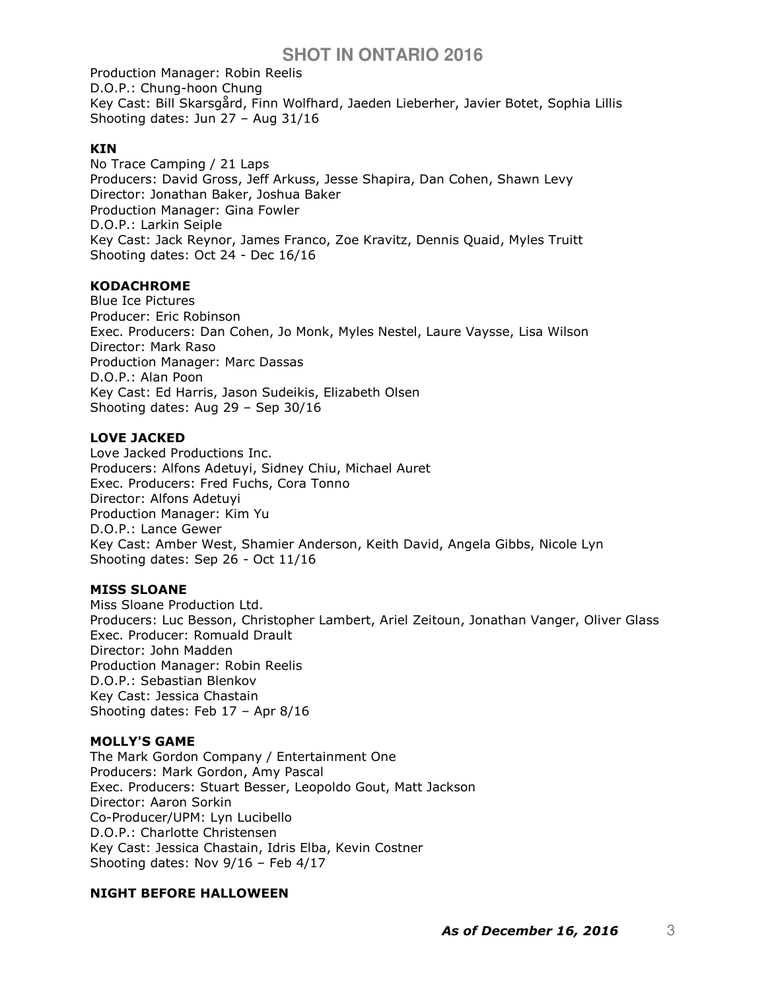Production Manager: Robin Reelis D.O.P.: Chung-hoon Chung Key Cast: Bill Skarsgård, Finn Wolfhard, Jaeden Lieberher, Javier Botet, Sophia Lillis Shooting dates: Jun 27 – Aug 31/16

## KIN

No Trace Camping / 21 Laps Producers: David Gross, Jeff Arkuss, Jesse Shapira, Dan Cohen, Shawn Levy Director: Jonathan Baker, Joshua Baker Production Manager: Gina Fowler D.O.P.: Larkin Seiple Key Cast: Jack Reynor, James Franco, Zoe Kravitz, Dennis Quaid, Myles Truitt Shooting dates: Oct 24 - Dec 16/16

## **KODACHROME**

Blue Ice Pictures Producer: Eric Robinson Exec. Producers: Dan Cohen, Jo Monk, Myles Nestel, Laure Vaysse, Lisa Wilson Director: Mark Raso Production Manager: Marc Dassas D.O.P.: Alan Poon Key Cast: Ed Harris, Jason Sudeikis, Elizabeth Olsen Shooting dates: Aug 29 – Sep 30/16

# LOVE JACKED

Love Jacked Productions Inc. Producers: Alfons Adetuyi, Sidney Chiu, Michael Auret Exec. Producers: Fred Fuchs, Cora Tonno Director: Alfons Adetuyi Production Manager: Kim Yu D.O.P.: Lance Gewer Key Cast: Amber West, Shamier Anderson, Keith David, Angela Gibbs, Nicole Lyn Shooting dates: Sep 26 - Oct 11/16

### MISS SLOANE

Miss Sloane Production Ltd. Producers: Luc Besson, Christopher Lambert, Ariel Zeitoun, Jonathan Vanger, Oliver Glass Exec. Producer: Romuald Drault Director: John Madden Production Manager: Robin Reelis D.O.P.: Sebastian Blenkov Key Cast: Jessica Chastain Shooting dates: Feb 17 – Apr 8/16

### MOLLY'S GAME

The Mark Gordon Company / Entertainment One Producers: Mark Gordon, Amy Pascal Exec. Producers: Stuart Besser, Leopoldo Gout, Matt Jackson Director: Aaron Sorkin Co-Producer/UPM: Lyn Lucibello D.O.P.: Charlotte Christensen Key Cast: Jessica Chastain, Idris Elba, Kevin Costner Shooting dates: Nov 9/16 – Feb 4/17

# NIGHT BEFORE HALLOWEEN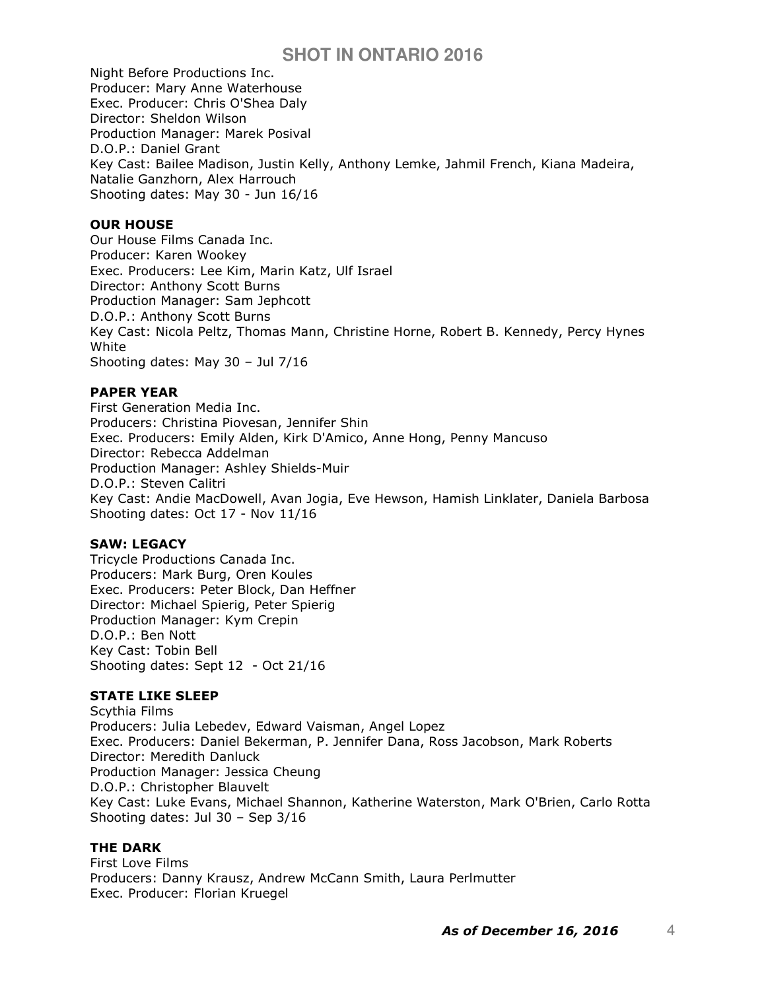Night Before Productions Inc. Producer: Mary Anne Waterhouse Exec. Producer: Chris O'Shea Daly Director: Sheldon Wilson Production Manager: Marek Posival D.O.P.: Daniel Grant Key Cast: Bailee Madison, Justin Kelly, Anthony Lemke, Jahmil French, Kiana Madeira, Natalie Ganzhorn, Alex Harrouch Shooting dates: May 30 - Jun 16/16

## OUR HOUSE

Our House Films Canada Inc. Producer: Karen Wookey Exec. Producers: Lee Kim, Marin Katz, Ulf Israel Director: Anthony Scott Burns Production Manager: Sam Jephcott D.O.P.: Anthony Scott Burns Key Cast: Nicola Peltz, Thomas Mann, Christine Horne, Robert B. Kennedy, Percy Hynes White Shooting dates: May 30 – Jul 7/16

## PAPER YEAR

First Generation Media Inc. Producers: Christina Piovesan, Jennifer Shin Exec. Producers: Emily Alden, Kirk D'Amico, Anne Hong, Penny Mancuso Director: Rebecca Addelman Production Manager: Ashley Shields-Muir D.O.P.: Steven Calitri Key Cast: Andie MacDowell, Avan Jogia, Eve Hewson, Hamish Linklater, Daniela Barbosa Shooting dates: Oct 17 - Nov 11/16

### SAW: LEGACY

Tricycle Productions Canada Inc. Producers: Mark Burg, Oren Koules Exec. Producers: Peter Block, Dan Heffner Director: Michael Spierig, Peter Spierig Production Manager: Kym Crepin D.O.P.: Ben Nott Key Cast: Tobin Bell Shooting dates: Sept 12 - Oct 21/16

### STATE LIKE SLEEP

Scythia Films Producers: Julia Lebedev, Edward Vaisman, Angel Lopez Exec. Producers: Daniel Bekerman, P. Jennifer Dana, Ross Jacobson, Mark Roberts Director: Meredith Danluck Production Manager: Jessica Cheung D.O.P.: Christopher Blauvelt Key Cast: Luke Evans, Michael Shannon, Katherine Waterston, Mark O'Brien, Carlo Rotta Shooting dates: Jul 30 – Sep 3/16

### THE DARK

First Love Films Producers: Danny Krausz, Andrew McCann Smith, Laura Perlmutter Exec. Producer: Florian Kruegel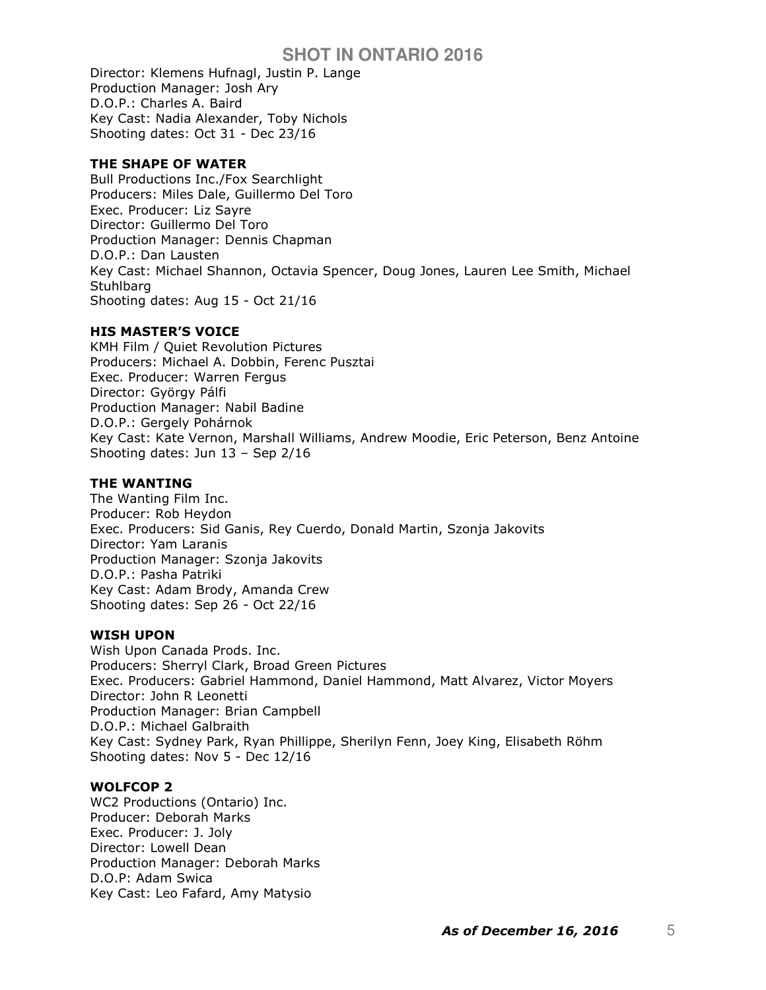Director: Klemens Hufnagl, Justin P. Lange Production Manager: Josh Ary D.O.P.: Charles A. Baird Key Cast: Nadia Alexander, Toby Nichols Shooting dates: Oct 31 - Dec 23/16

## THE SHAPE OF WATER

Bull Productions Inc./Fox Searchlight Producers: Miles Dale, Guillermo Del Toro Exec. Producer: Liz Sayre Director: Guillermo Del Toro Production Manager: Dennis Chapman D.O.P.: Dan Lausten Key Cast: Michael Shannon, Octavia Spencer, Doug Jones, Lauren Lee Smith, Michael **Stuhlbarg** Shooting dates: Aug 15 - Oct 21/16

## HIS MASTER'S VOICE

KMH Film / Quiet Revolution Pictures Producers: Michael A. Dobbin, Ferenc Pusztai Exec. Producer: Warren Fergus Director: György Pálfi Production Manager: Nabil Badine D.O.P.: Gergely Pohárnok Key Cast: Kate Vernon, Marshall Williams, Andrew Moodie, Eric Peterson, Benz Antoine Shooting dates: Jun 13 – Sep 2/16

## THE WANTING

The Wanting Film Inc. Producer: Rob Heydon Exec. Producers: Sid Ganis, Rey Cuerdo, Donald Martin, Szonja Jakovits Director: Yam Laranis Production Manager: Szonja Jakovits D.O.P.: Pasha Patriki Key Cast: Adam Brody, Amanda Crew Shooting dates: Sep 26 - Oct 22/16

### WISH UPON

Wish Upon Canada Prods. Inc. Producers: Sherryl Clark, Broad Green Pictures Exec. Producers: Gabriel Hammond, Daniel Hammond, Matt Alvarez, Victor Moyers Director: John R Leonetti Production Manager: Brian Campbell D.O.P.: Michael Galbraith Key Cast: Sydney Park, Ryan Phillippe, Sherilyn Fenn, Joey King, Elisabeth Röhm Shooting dates: Nov 5 - Dec 12/16

### WOLFCOP 2

WC2 Productions (Ontario) Inc. Producer: Deborah Marks Exec. Producer: J. Joly Director: Lowell Dean Production Manager: Deborah Marks D.O.P: Adam Swica Key Cast: Leo Fafard, Amy Matysio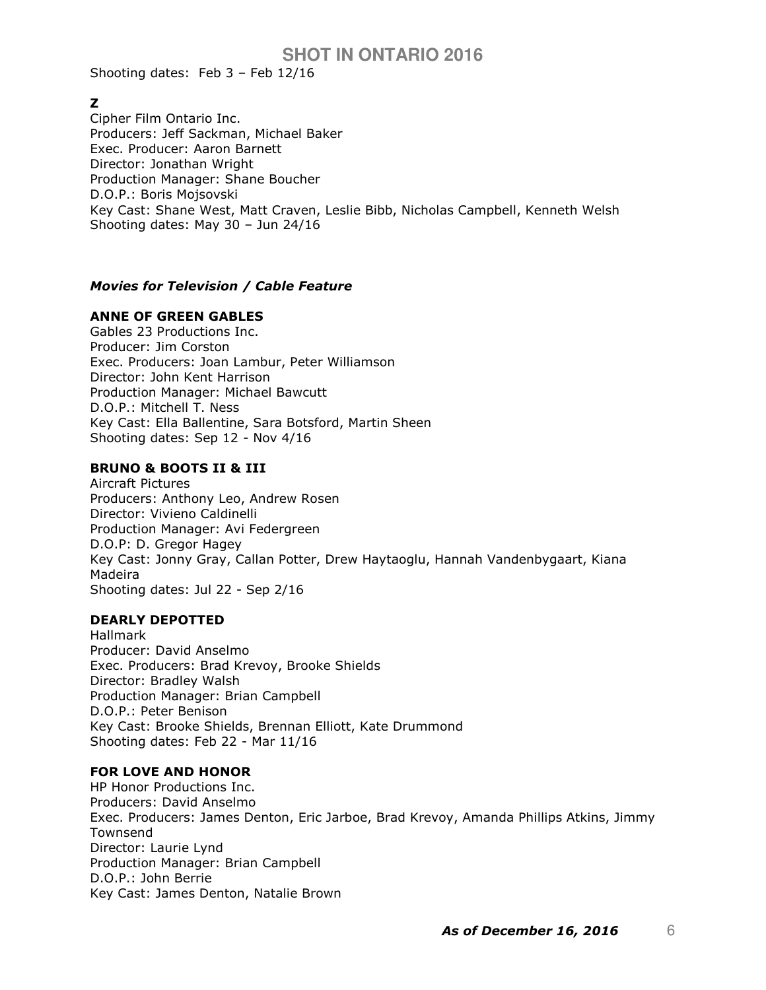Shooting dates: Feb 3 – Feb 12/16

# Z

Cipher Film Ontario Inc. Producers: Jeff Sackman, Michael Baker Exec. Producer: Aaron Barnett Director: Jonathan Wright Production Manager: Shane Boucher D.O.P.: Boris Mojsovski Key Cast: Shane West, Matt Craven, Leslie Bibb, Nicholas Campbell, Kenneth Welsh Shooting dates: May 30 – Jun 24/16

# Movies for Television / Cable Feature

## ANNE OF GREEN GABLES

Gables 23 Productions Inc. Producer: Jim Corston Exec. Producers: Joan Lambur, Peter Williamson Director: John Kent Harrison Production Manager: Michael Bawcutt D.O.P.: Mitchell T. Ness Key Cast: Ella Ballentine, Sara Botsford, Martin Sheen Shooting dates: Sep 12 - Nov 4/16

## BRUNO & BOOTS II & III

Aircraft Pictures Producers: Anthony Leo, Andrew Rosen Director: Vivieno Caldinelli Production Manager: Avi Federgreen D.O.P: D. Gregor Hagey Key Cast: Jonny Gray, Callan Potter, Drew Haytaoglu, Hannah Vandenbygaart, Kiana Madeira Shooting dates: Jul 22 - Sep 2/16

### DEARLY DEPOTTED

Hallmark Producer: David Anselmo Exec. Producers: Brad Krevoy, Brooke Shields Director: Bradley Walsh Production Manager: Brian Campbell D.O.P.: Peter Benison Key Cast: Brooke Shields, Brennan Elliott, Kate Drummond Shooting dates: Feb 22 - Mar 11/16

### FOR LOVE AND HONOR

HP Honor Productions Inc. Producers: David Anselmo Exec. Producers: James Denton, Eric Jarboe, Brad Krevoy, Amanda Phillips Atkins, Jimmy Townsend Director: Laurie Lynd Production Manager: Brian Campbell D.O.P.: John Berrie Key Cast: James Denton, Natalie Brown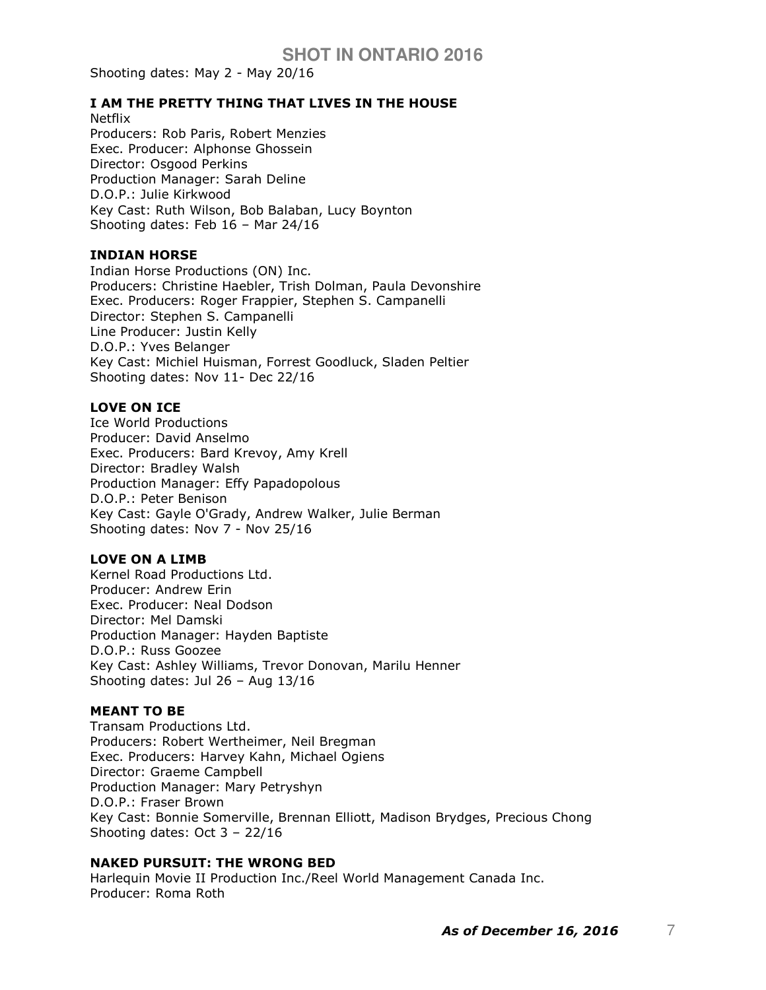Shooting dates: May 2 - May 20/16

### I AM THE PRETTY THING THAT LIVES IN THE HOUSE

Netflix Producers: Rob Paris, Robert Menzies Exec. Producer: Alphonse Ghossein Director: Osgood Perkins Production Manager: Sarah Deline D.O.P.: Julie Kirkwood Key Cast: Ruth Wilson, Bob Balaban, Lucy Boynton Shooting dates: Feb 16 – Mar 24/16

#### INDIAN HORSE

Indian Horse Productions (ON) Inc. Producers: Christine Haebler, Trish Dolman, Paula Devonshire Exec. Producers: Roger Frappier, Stephen S. Campanelli Director: Stephen S. Campanelli Line Producer: Justin Kelly D.O.P.: Yves Belanger Key Cast: Michiel Huisman, Forrest Goodluck, Sladen Peltier Shooting dates: Nov 11- Dec 22/16

#### LOVE ON ICE

Ice World Productions Producer: David Anselmo Exec. Producers: Bard Krevoy, Amy Krell Director: Bradley Walsh Production Manager: Effy Papadopolous D.O.P.: Peter Benison Key Cast: Gayle O'Grady, Andrew Walker, Julie Berman Shooting dates: Nov 7 - Nov 25/16

#### LOVE ON A LIMB

Kernel Road Productions Ltd. Producer: Andrew Erin Exec. Producer: Neal Dodson Director: Mel Damski Production Manager: Hayden Baptiste D.O.P.: Russ Goozee Key Cast: Ashley Williams, Trevor Donovan, Marilu Henner Shooting dates: Jul 26 – Aug 13/16

#### MEANT TO BE

Transam Productions Ltd. Producers: Robert Wertheimer, Neil Bregman Exec. Producers: Harvey Kahn, Michael Ogiens Director: Graeme Campbell Production Manager: Mary Petryshyn D.O.P.: Fraser Brown Key Cast: Bonnie Somerville, Brennan Elliott, Madison Brydges, Precious Chong Shooting dates: Oct 3 – 22/16

## NAKED PURSUIT: THE WRONG BED

Harlequin Movie II Production Inc./Reel World Management Canada Inc. Producer: Roma Roth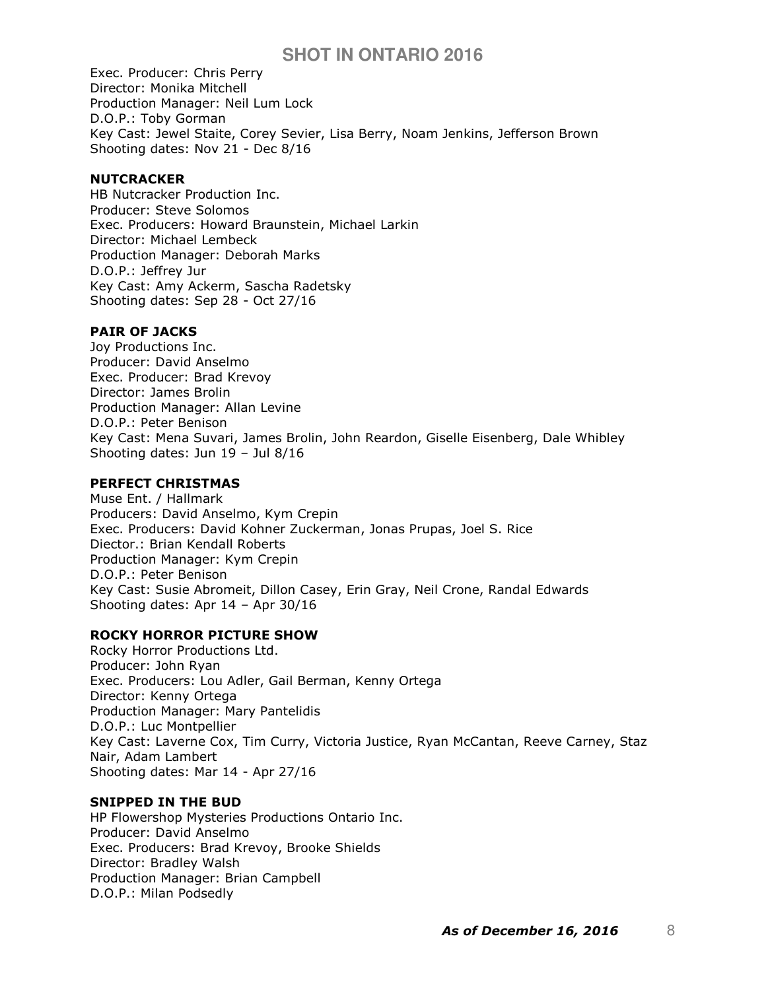Exec. Producer: Chris Perry Director: Monika Mitchell Production Manager: Neil Lum Lock D.O.P.: Toby Gorman Key Cast: Jewel Staite, Corey Sevier, Lisa Berry, Noam Jenkins, Jefferson Brown Shooting dates: Nov 21 - Dec 8/16

### **NUTCRACKER**

HB Nutcracker Production Inc. Producer: Steve Solomos Exec. Producers: Howard Braunstein, Michael Larkin Director: Michael Lembeck Production Manager: Deborah Marks D.O.P.: Jeffrey Jur Key Cast: Amy Ackerm, Sascha Radetsky Shooting dates: Sep 28 - Oct 27/16

## PAIR OF JACKS

Joy Productions Inc. Producer: David Anselmo Exec. Producer: Brad Krevoy Director: James Brolin Production Manager: Allan Levine D.O.P.: Peter Benison Key Cast: Mena Suvari, James Brolin, John Reardon, Giselle Eisenberg, Dale Whibley Shooting dates: Jun 19 – Jul 8/16

### PERFECT CHRISTMAS

Muse Ent. / Hallmark Producers: David Anselmo, Kym Crepin Exec. Producers: David Kohner Zuckerman, Jonas Prupas, Joel S. Rice Diector.: Brian Kendall Roberts Production Manager: Kym Crepin D.O.P.: Peter Benison Key Cast: Susie Abromeit, Dillon Casey, Erin Gray, Neil Crone, Randal Edwards Shooting dates: Apr 14 – Apr 30/16

# ROCKY HORROR PICTURE SHOW

Rocky Horror Productions Ltd. Producer: John Ryan Exec. Producers: Lou Adler, Gail Berman, Kenny Ortega Director: Kenny Ortega Production Manager: Mary Pantelidis D.O.P.: Luc Montpellier Key Cast: Laverne Cox, Tim Curry, Victoria Justice, Ryan McCantan, Reeve Carney, Staz Nair, Adam Lambert Shooting dates: Mar 14 - Apr 27/16

### SNIPPED IN THE BUD

HP Flowershop Mysteries Productions Ontario Inc. Producer: David Anselmo Exec. Producers: Brad Krevoy, Brooke Shields Director: Bradley Walsh Production Manager: Brian Campbell D.O.P.: Milan Podsedly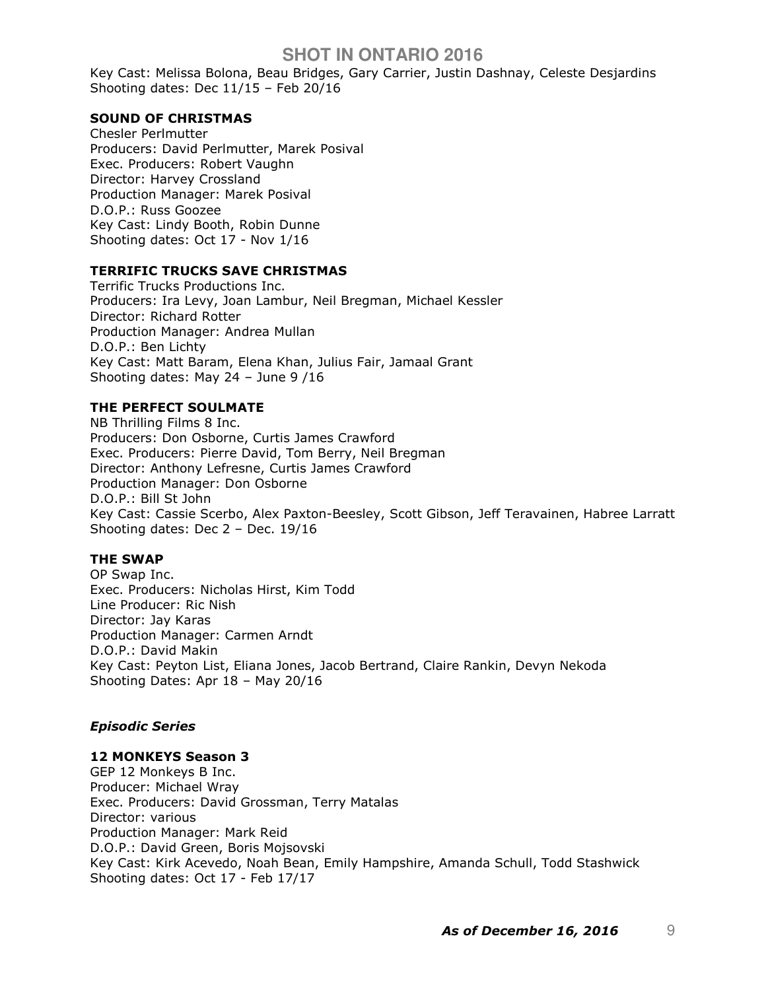Key Cast: Melissa Bolona, Beau Bridges, Gary Carrier, Justin Dashnay, Celeste Desjardins Shooting dates: Dec 11/15 – Feb 20/16

#### SOUND OF CHRISTMAS

Chesler Perlmutter Producers: David Perlmutter, Marek Posival Exec. Producers: Robert Vaughn Director: Harvey Crossland Production Manager: Marek Posival D.O.P.: Russ Goozee Key Cast: Lindy Booth, Robin Dunne Shooting dates: Oct 17 - Nov 1/16

### TERRIFIC TRUCKS SAVE CHRISTMAS

Terrific Trucks Productions Inc. Producers: Ira Levy, Joan Lambur, Neil Bregman, Michael Kessler Director: Richard Rotter Production Manager: Andrea Mullan D.O.P.: Ben Lichty Key Cast: Matt Baram, Elena Khan, Julius Fair, Jamaal Grant Shooting dates: May 24 – June 9 /16

#### THE PERFECT SOULMATE

NB Thrilling Films 8 Inc. Producers: Don Osborne, Curtis James Crawford Exec. Producers: Pierre David, Tom Berry, Neil Bregman Director: Anthony Lefresne, Curtis James Crawford Production Manager: Don Osborne D.O.P.: Bill St John Key Cast: Cassie Scerbo, Alex Paxton-Beesley, Scott Gibson, Jeff Teravainen, Habree Larratt Shooting dates: Dec 2 – Dec. 19/16

#### THE SWAP

OP Swap Inc. Exec. Producers: Nicholas Hirst, Kim Todd Line Producer: Ric Nish Director: Jay Karas Production Manager: Carmen Arndt D.O.P.: David Makin Key Cast: Peyton List, Eliana Jones, Jacob Bertrand, Claire Rankin, Devyn Nekoda Shooting Dates: Apr 18 – May 20/16

#### Episodic Series

#### 12 MONKEYS Season 3

GEP 12 Monkeys B Inc. Producer: Michael Wray Exec. Producers: David Grossman, Terry Matalas Director: various Production Manager: Mark Reid D.O.P.: David Green, Boris Mojsovski Key Cast: Kirk Acevedo, Noah Bean, Emily Hampshire, Amanda Schull, Todd Stashwick Shooting dates: Oct 17 - Feb 17/17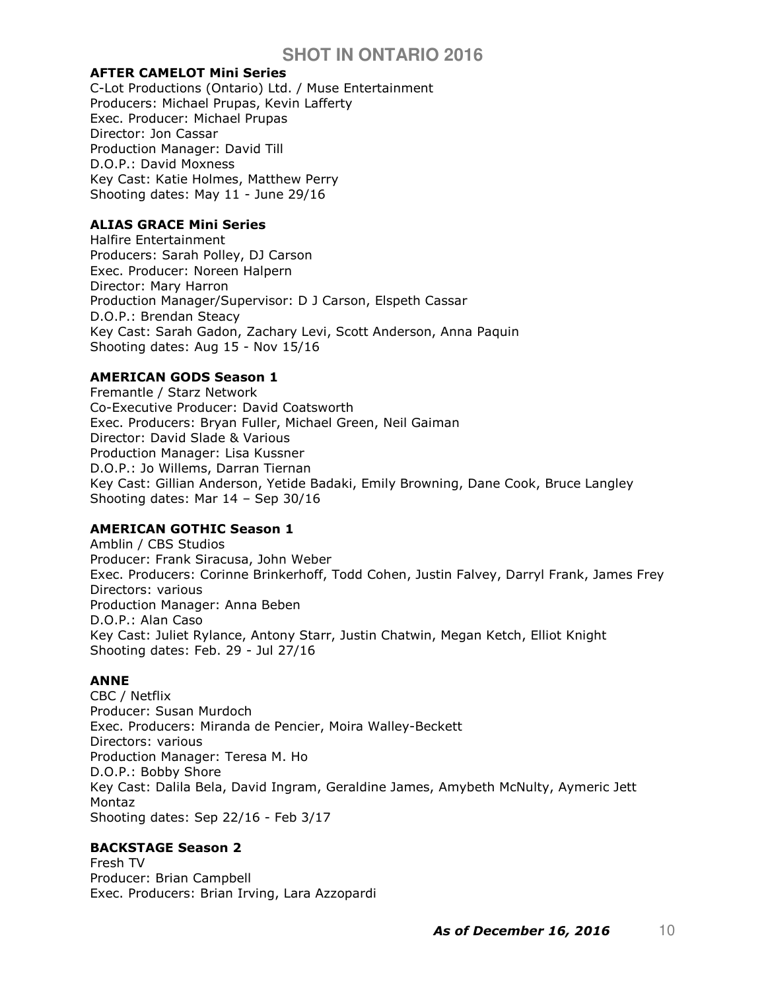### AFTER CAMELOT Mini Series

C-Lot Productions (Ontario) Ltd. / Muse Entertainment Producers: Michael Prupas, Kevin Lafferty Exec. Producer: Michael Prupas Director: Jon Cassar Production Manager: David Till D.O.P.: David Moxness Key Cast: Katie Holmes, Matthew Perry Shooting dates: May 11 - June 29/16

### ALIAS GRACE Mini Series

Halfire Entertainment Producers: Sarah Polley, DJ Carson Exec. Producer: Noreen Halpern Director: Mary Harron Production Manager/Supervisor: D J Carson, Elspeth Cassar D.O.P.: Brendan Steacy Key Cast: Sarah Gadon, Zachary Levi, Scott Anderson, Anna Paquin Shooting dates: Aug 15 - Nov 15/16

# AMERICAN GODS Season 1

Fremantle / Starz Network Co-Executive Producer: David Coatsworth Exec. Producers: Bryan Fuller, Michael Green, Neil Gaiman Director: David Slade & Various Production Manager: Lisa Kussner D.O.P.: Jo Willems, Darran Tiernan Key Cast: Gillian Anderson, Yetide Badaki, Emily Browning, Dane Cook, Bruce Langley Shooting dates: Mar 14 – Sep 30/16

# AMERICAN GOTHIC Season 1

Amblin / CBS Studios Producer: Frank Siracusa, John Weber Exec. Producers: Corinne Brinkerhoff, Todd Cohen, Justin Falvey, Darryl Frank, James Frey Directors: various Production Manager: Anna Beben D.O.P.: Alan Caso Key Cast: Juliet Rylance, Antony Starr, Justin Chatwin, Megan Ketch, Elliot Knight Shooting dates: Feb. 29 - Jul 27/16

# ANNE

CBC / Netflix Producer: Susan Murdoch Exec. Producers: Miranda de Pencier, Moira Walley-Beckett Directors: various Production Manager: Teresa M. Ho D.O.P.: Bobby Shore Key Cast: Dalila Bela, David Ingram, Geraldine James, Amybeth McNulty, Aymeric Jett Montaz Shooting dates: Sep 22/16 - Feb 3/17

# BACKSTAGE Season 2

Fresh TV Producer: Brian Campbell Exec. Producers: Brian Irving, Lara Azzopardi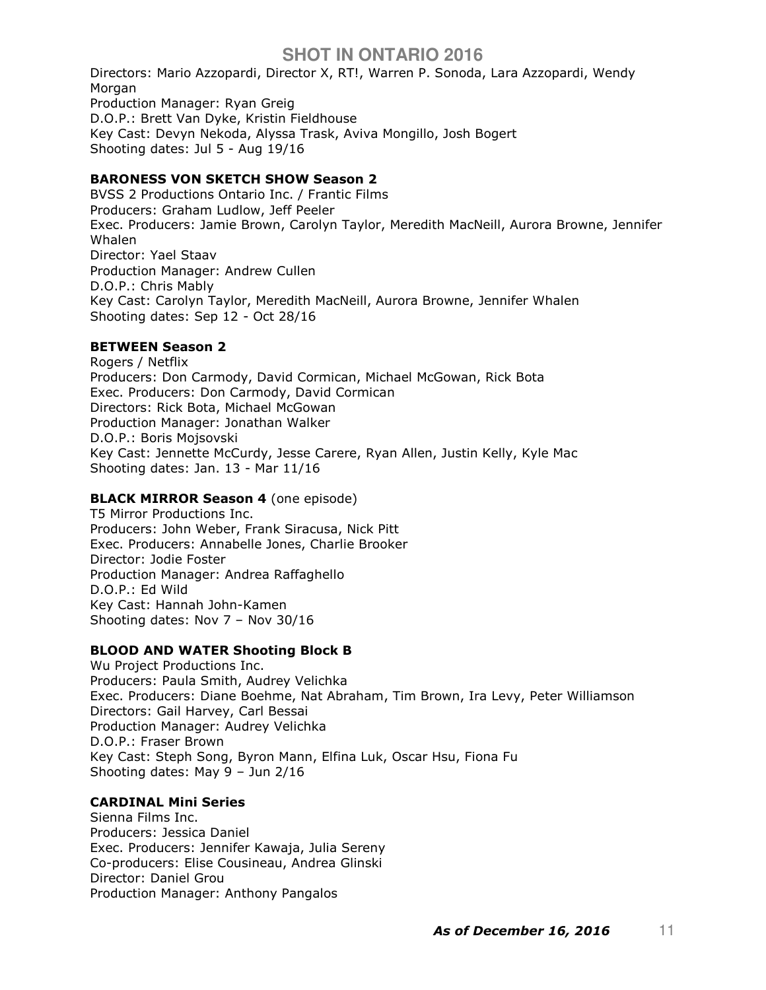Directors: Mario Azzopardi, Director X, RT!, Warren P. Sonoda, Lara Azzopardi, Wendy Morgan Production Manager: Ryan Greig D.O.P.: Brett Van Dyke, Kristin Fieldhouse Key Cast: Devyn Nekoda, Alyssa Trask, Aviva Mongillo, Josh Bogert Shooting dates: Jul 5 - Aug 19/16

# BARONESS VON SKETCH SHOW Season 2

BVSS 2 Productions Ontario Inc. / Frantic Films Producers: Graham Ludlow, Jeff Peeler Exec. Producers: Jamie Brown, Carolyn Taylor, Meredith MacNeill, Aurora Browne, Jennifer Whalen Director: Yael Staav Production Manager: Andrew Cullen D.O.P.: Chris Mably Key Cast: Carolyn Taylor, Meredith MacNeill, Aurora Browne, Jennifer Whalen Shooting dates: Sep 12 - Oct 28/16

### BETWEEN Season 2

Rogers / Netflix Producers: Don Carmody, David Cormican, Michael McGowan, Rick Bota Exec. Producers: Don Carmody, David Cormican Directors: Rick Bota, Michael McGowan Production Manager: Jonathan Walker D.O.P.: Boris Mojsovski Key Cast: Jennette McCurdy, Jesse Carere, Ryan Allen, Justin Kelly, Kyle Mac Shooting dates: Jan. 13 - Mar 11/16

### **BLACK MIRROR Season 4** (one episode)

T5 Mirror Productions Inc. Producers: John Weber, Frank Siracusa, Nick Pitt Exec. Producers: Annabelle Jones, Charlie Brooker Director: Jodie Foster Production Manager: Andrea Raffaghello D.O.P.: Ed Wild Key Cast: Hannah John-Kamen Shooting dates: Nov 7 – Nov 30/16

### BLOOD AND WATER Shooting Block B

Wu Project Productions Inc. Producers: Paula Smith, Audrey Velichka Exec. Producers: Diane Boehme, Nat Abraham, Tim Brown, Ira Levy, Peter Williamson Directors: Gail Harvey, Carl Bessai Production Manager: Audrey Velichka D.O.P.: Fraser Brown Key Cast: Steph Song, Byron Mann, Elfina Luk, Oscar Hsu, Fiona Fu Shooting dates: May 9 – Jun 2/16

### CARDINAL Mini Series

Sienna Films Inc. Producers: Jessica Daniel Exec. Producers: Jennifer Kawaja, Julia Sereny Co-producers: Elise Cousineau, Andrea Glinski Director: Daniel Grou Production Manager: Anthony Pangalos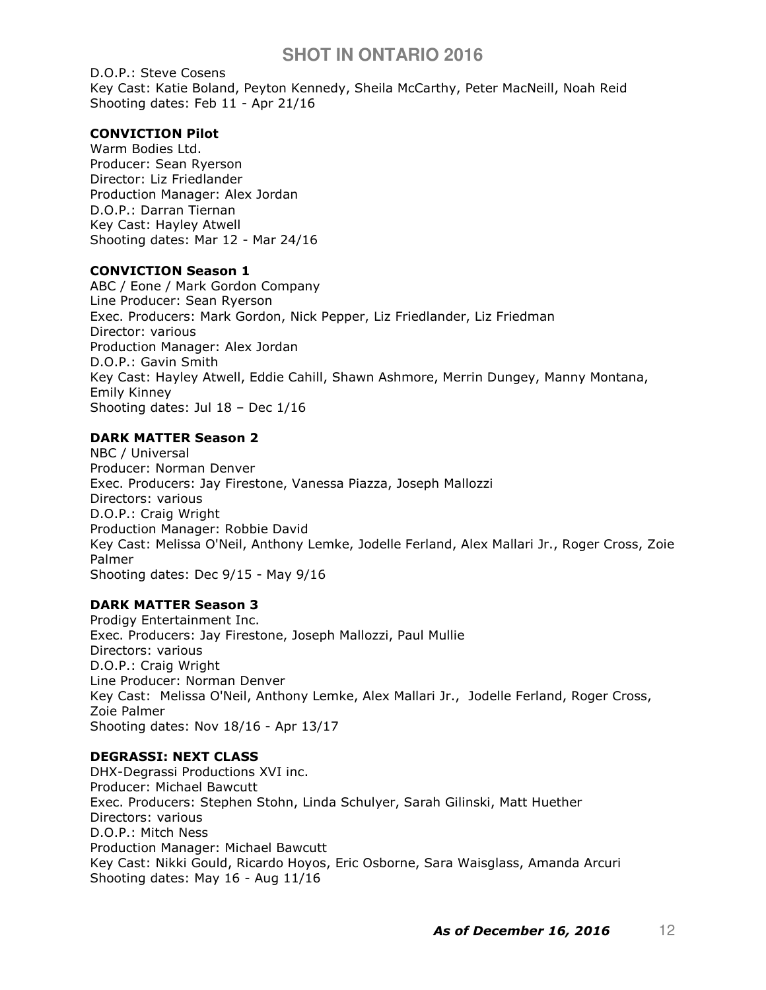D.O.P.: Steve Cosens Key Cast: Katie Boland, Peyton Kennedy, Sheila McCarthy, Peter MacNeill, Noah Reid Shooting dates: Feb 11 - Apr 21/16

# CONVICTION Pilot

Warm Bodies Ltd. Producer: Sean Ryerson Director: Liz Friedlander Production Manager: Alex Jordan D.O.P.: Darran Tiernan Key Cast: Hayley Atwell Shooting dates: Mar 12 - Mar 24/16

### CONVICTION Season 1

ABC / Eone / Mark Gordon Company Line Producer: Sean Ryerson Exec. Producers: Mark Gordon, Nick Pepper, Liz Friedlander, Liz Friedman Director: various Production Manager: Alex Jordan D.O.P.: Gavin Smith Key Cast: Hayley Atwell, Eddie Cahill, Shawn Ashmore, Merrin Dungey, Manny Montana, Emily Kinney Shooting dates: Jul 18 – Dec 1/16

# DARK MATTER Season 2

NBC / Universal Producer: Norman Denver Exec. Producers: Jay Firestone, Vanessa Piazza, Joseph Mallozzi Directors: various D.O.P.: Craig Wright Production Manager: Robbie David Key Cast: Melissa O'Neil, Anthony Lemke, Jodelle Ferland, Alex Mallari Jr., Roger Cross, Zoie Palmer Shooting dates: Dec 9/15 - May 9/16

# DARK MATTER Season 3

Prodigy Entertainment Inc. Exec. Producers: Jay Firestone, Joseph Mallozzi, Paul Mullie Directors: various D.O.P.: Craig Wright Line Producer: Norman Denver Key Cast: Melissa O'Neil, Anthony Lemke, Alex Mallari Jr., Jodelle Ferland, Roger Cross, Zoie Palmer Shooting dates: Nov 18/16 - Apr 13/17

### DEGRASSI: NEXT CLASS

DHX-Degrassi Productions XVI inc. Producer: Michael Bawcutt Exec. Producers: Stephen Stohn, Linda Schulyer, Sarah Gilinski, Matt Huether Directors: various D.O.P.: Mitch Ness Production Manager: Michael Bawcutt Key Cast: Nikki Gould, Ricardo Hoyos, Eric Osborne, Sara Waisglass, Amanda Arcuri Shooting dates: May 16 - Aug 11/16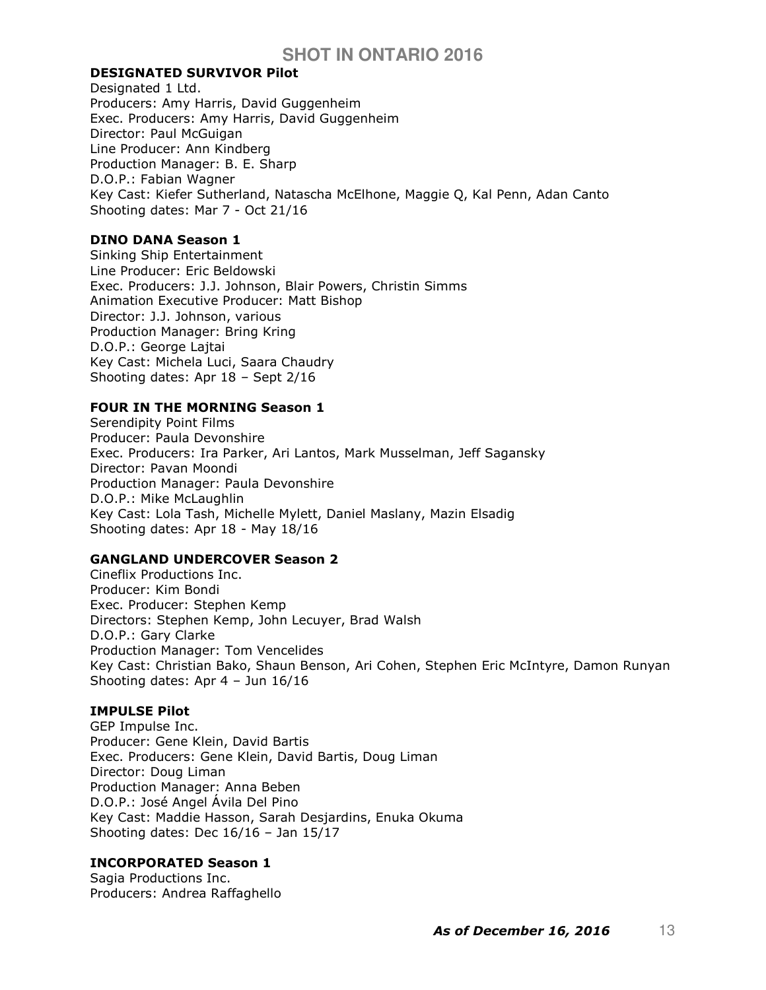## DESIGNATED SURVIVOR Pilot

Designated 1 Ltd. Producers: Amy Harris, David Guggenheim Exec. Producers: Amy Harris, David Guggenheim Director: Paul McGuigan Line Producer: Ann Kindberg Production Manager: B. E. Sharp D.O.P.: Fabian Wagner Key Cast: Kiefer Sutherland, Natascha McElhone, Maggie Q, Kal Penn, Adan Canto Shooting dates: Mar 7 - Oct 21/16

## DINO DANA Season 1

Sinking Ship Entertainment Line Producer: Eric Beldowski Exec. Producers: J.J. Johnson, Blair Powers, Christin Simms Animation Executive Producer: Matt Bishop Director: J.J. Johnson, various Production Manager: Bring Kring D.O.P.: George Lajtai Key Cast: Michela Luci, Saara Chaudry Shooting dates: Apr 18 – Sept 2/16

### FOUR IN THE MORNING Season 1

Serendipity Point Films Producer: Paula Devonshire Exec. Producers: Ira Parker, Ari Lantos, Mark Musselman, Jeff Sagansky Director: Pavan Moondi Production Manager: Paula Devonshire D.O.P.: Mike McLaughlin Key Cast: Lola Tash, Michelle Mylett, Daniel Maslany, Mazin Elsadig Shooting dates: Apr 18 - May 18/16

### GANGLAND UNDERCOVER Season 2

Cineflix Productions Inc. Producer: Kim Bondi Exec. Producer: Stephen Kemp Directors: Stephen Kemp, John Lecuyer, Brad Walsh D.O.P.: Gary Clarke Production Manager: Tom Vencelides Key Cast: Christian Bako, Shaun Benson, Ari Cohen, Stephen Eric McIntyre, Damon Runyan Shooting dates: Apr 4 – Jun 16/16

### IMPULSE Pilot

GEP Impulse Inc. Producer: Gene Klein, David Bartis Exec. Producers: Gene Klein, David Bartis, Doug Liman Director: Doug Liman Production Manager: Anna Beben D.O.P.: José Angel Ávila Del Pino Key Cast: Maddie Hasson, Sarah Desjardins, Enuka Okuma Shooting dates: Dec 16/16 – Jan 15/17

# INCORPORATED Season 1

Sagia Productions Inc. Producers: Andrea Raffaghello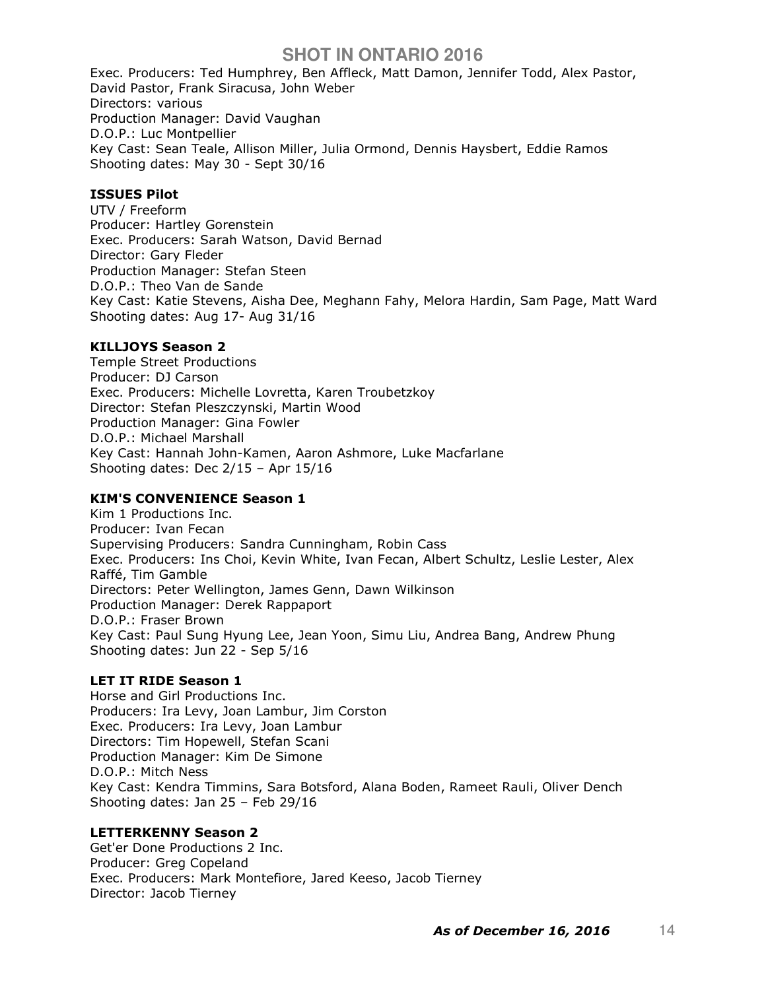Exec. Producers: Ted Humphrey, Ben Affleck, Matt Damon, Jennifer Todd, Alex Pastor, David Pastor, Frank Siracusa, John Weber Directors: various Production Manager: David Vaughan D.O.P.: Luc Montpellier Key Cast: Sean Teale, Allison Miller, Julia Ormond, Dennis Haysbert, Eddie Ramos Shooting dates: May 30 - Sept 30/16

### ISSUES Pilot

UTV / Freeform Producer: Hartley Gorenstein Exec. Producers: Sarah Watson, David Bernad Director: Gary Fleder Production Manager: Stefan Steen D.O.P.: Theo Van de Sande Key Cast: Katie Stevens, Aisha Dee, Meghann Fahy, Melora Hardin, Sam Page, Matt Ward Shooting dates: Aug 17- Aug 31/16

### KILLJOYS Season 2

Temple Street Productions Producer: DJ Carson Exec. Producers: Michelle Lovretta, Karen Troubetzkoy Director: Stefan Pleszczynski, Martin Wood Production Manager: Gina Fowler D.O.P.: Michael Marshall Key Cast: Hannah John-Kamen, Aaron Ashmore, Luke Macfarlane Shooting dates: Dec 2/15 – Apr 15/16

# KIM'S CONVENIENCE Season 1

Kim 1 Productions Inc. Producer: Ivan Fecan Supervising Producers: Sandra Cunningham, Robin Cass Exec. Producers: Ins Choi, Kevin White, Ivan Fecan, Albert Schultz, Leslie Lester, Alex Raffé, Tim Gamble Directors: Peter Wellington, James Genn, Dawn Wilkinson Production Manager: Derek Rappaport D.O.P.: Fraser Brown Key Cast: Paul Sung Hyung Lee, Jean Yoon, Simu Liu, Andrea Bang, Andrew Phung Shooting dates: Jun 22 - Sep 5/16

# LET IT RIDE Season 1

Horse and Girl Productions Inc. Producers: Ira Levy, Joan Lambur, Jim Corston Exec. Producers: Ira Levy, Joan Lambur Directors: Tim Hopewell, Stefan Scani Production Manager: Kim De Simone D.O.P.: Mitch Ness Key Cast: Kendra Timmins, Sara Botsford, Alana Boden, Rameet Rauli, Oliver Dench Shooting dates: Jan 25 – Feb 29/16

### LETTERKENNY Season 2

Get'er Done Productions 2 Inc. Producer: Greg Copeland Exec. Producers: Mark Montefiore, Jared Keeso, Jacob Tierney Director: Jacob Tierney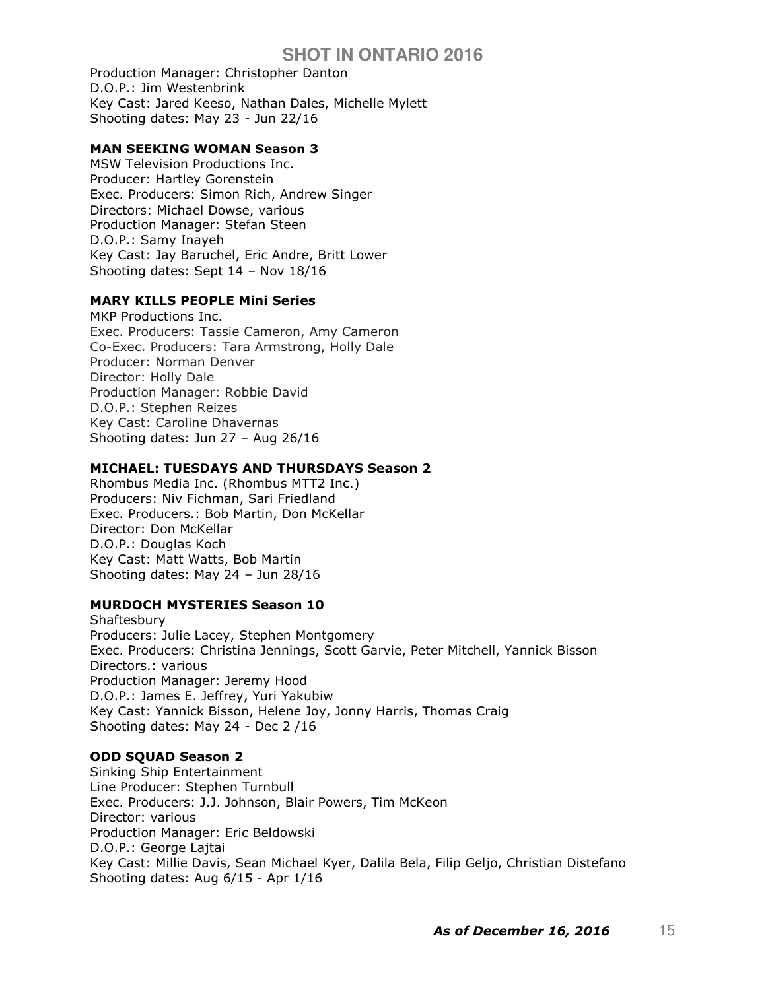Production Manager: Christopher Danton D.O.P.: Jim Westenbrink Key Cast: Jared Keeso, Nathan Dales, Michelle Mylett Shooting dates: May 23 - Jun 22/16

## MAN SEEKING WOMAN Season 3

MSW Television Productions Inc. Producer: Hartley Gorenstein Exec. Producers: Simon Rich, Andrew Singer Directors: Michael Dowse, various Production Manager: Stefan Steen D.O.P.: Samy Inayeh Key Cast: Jay Baruchel, Eric Andre, Britt Lower Shooting dates: Sept 14 – Nov 18/16

## MARY KILLS PEOPLE Mini Series

MKP Productions Inc. Exec. Producers: Tassie Cameron, Amy Cameron Co-Exec. Producers: Tara Armstrong, Holly Dale Producer: Norman Denver Director: Holly Dale Production Manager: Robbie David D.O.P.: Stephen Reizes Key Cast: Caroline Dhavernas Shooting dates: Jun 27 – Aug 26/16

# MICHAEL: TUESDAYS AND THURSDAYS Season 2

Rhombus Media Inc. (Rhombus MTT2 Inc.) Producers: Niv Fichman, Sari Friedland Exec. Producers.: Bob Martin, Don McKellar Director: Don McKellar D.O.P.: Douglas Koch Key Cast: Matt Watts, Bob Martin Shooting dates: May 24 – Jun 28/16

# MURDOCH MYSTERIES Season 10

**Shaftesbury** Producers: Julie Lacey, Stephen Montgomery Exec. Producers: Christina Jennings, Scott Garvie, Peter Mitchell, Yannick Bisson Directors.: various Production Manager: Jeremy Hood D.O.P.: James E. Jeffrey, Yuri Yakubiw Key Cast: Yannick Bisson, Helene Joy, Jonny Harris, Thomas Craig Shooting dates: May 24 - Dec 2 /16

# ODD SQUAD Season 2

Sinking Ship Entertainment Line Producer: Stephen Turnbull Exec. Producers: J.J. Johnson, Blair Powers, Tim McKeon Director: various Production Manager: Eric Beldowski D.O.P.: George Lajtai Key Cast: Millie Davis, Sean Michael Kyer, Dalila Bela, Filip Geljo, Christian Distefano Shooting dates: Aug 6/15 - Apr 1/16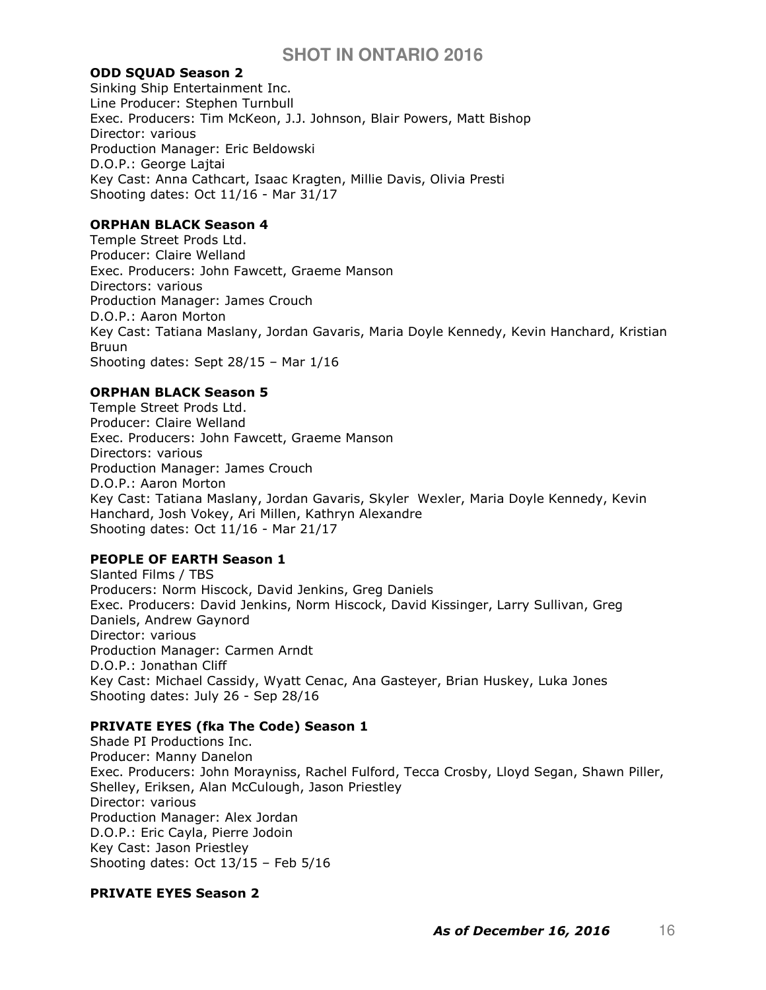## ODD SQUAD Season 2

Sinking Ship Entertainment Inc. Line Producer: Stephen Turnbull Exec. Producers: Tim McKeon, J.J. Johnson, Blair Powers, Matt Bishop Director: various Production Manager: Eric Beldowski D.O.P.: George Lajtai Key Cast: Anna Cathcart, Isaac Kragten, Millie Davis, Olivia Presti Shooting dates: Oct 11/16 - Mar 31/17

## ORPHAN BLACK Season 4

Temple Street Prods Ltd. Producer: Claire Welland Exec. Producers: John Fawcett, Graeme Manson Directors: various Production Manager: James Crouch D.O.P.: Aaron Morton Key Cast: Tatiana Maslany, Jordan Gavaris, Maria Doyle Kennedy, Kevin Hanchard, Kristian Bruun Shooting dates: Sept 28/15 – Mar 1/16

# ORPHAN BLACK Season 5

Temple Street Prods Ltd. Producer: Claire Welland Exec. Producers: John Fawcett, Graeme Manson Directors: various Production Manager: James Crouch D.O.P.: Aaron Morton Key Cast: Tatiana Maslany, Jordan Gavaris, Skyler Wexler, Maria Doyle Kennedy, Kevin Hanchard, Josh Vokey, Ari Millen, Kathryn Alexandre Shooting dates: Oct 11/16 - Mar 21/17

# PEOPLE OF EARTH Season 1

Slanted Films / TBS Producers: Norm Hiscock, David Jenkins, Greg Daniels Exec. Producers: David Jenkins, Norm Hiscock, David Kissinger, Larry Sullivan, Greg Daniels, Andrew Gaynord Director: various Production Manager: Carmen Arndt D.O.P.: Jonathan Cliff Key Cast: Michael Cassidy, Wyatt Cenac, Ana Gasteyer, Brian Huskey, Luka Jones Shooting dates: July 26 - Sep 28/16

# PRIVATE EYES (fka The Code) Season 1

Shade PI Productions Inc. Producer: Manny Danelon Exec. Producers: John Morayniss, Rachel Fulford, Tecca Crosby, Lloyd Segan, Shawn Piller, Shelley, Eriksen, Alan McCulough, Jason Priestley Director: various Production Manager: Alex Jordan D.O.P.: Eric Cayla, Pierre Jodoin Key Cast: Jason Priestley Shooting dates: Oct 13/15 – Feb 5/16

### PRIVATE EYES Season 2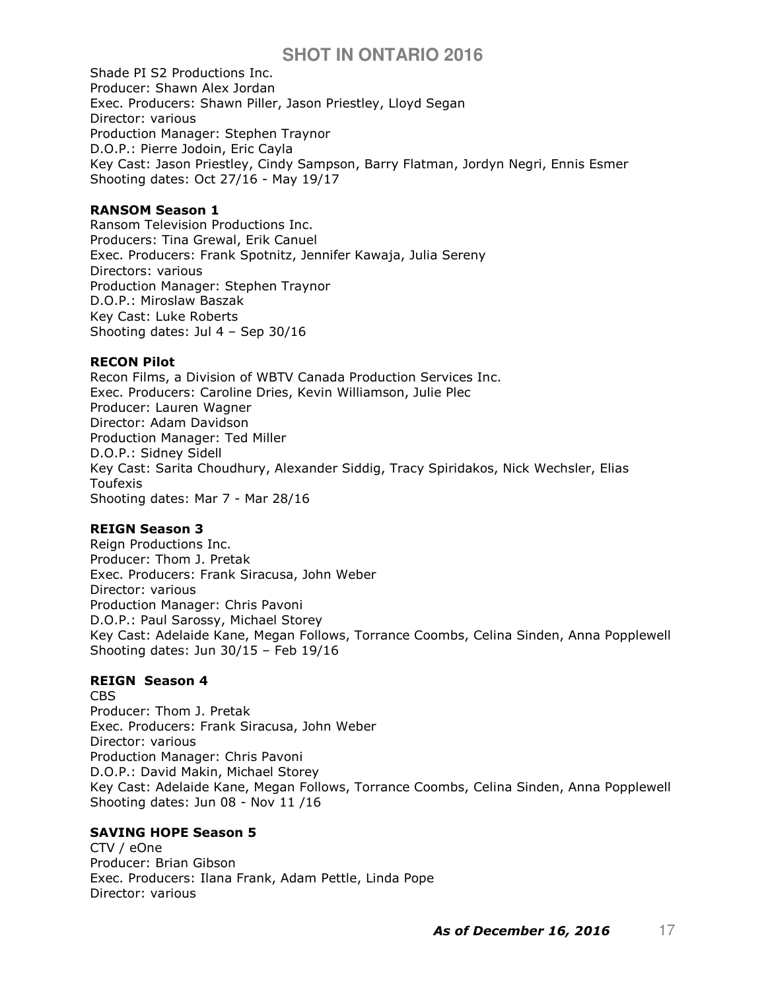Shade PI S2 Productions Inc. Producer: Shawn Alex Jordan Exec. Producers: Shawn Piller, Jason Priestley, Lloyd Segan Director: various Production Manager: Stephen Traynor D.O.P.: Pierre Jodoin, Eric Cayla Key Cast: Jason Priestley, Cindy Sampson, Barry Flatman, Jordyn Negri, Ennis Esmer Shooting dates: Oct 27/16 - May 19/17

### RANSOM Season 1

Ransom Television Productions Inc. Producers: Tina Grewal, Erik Canuel Exec. Producers: Frank Spotnitz, Jennifer Kawaja, Julia Sereny Directors: various Production Manager: Stephen Traynor D.O.P.: Miroslaw Baszak Key Cast: Luke Roberts Shooting dates: Jul 4 – Sep 30/16

## RECON Pilot

Recon Films, a Division of WBTV Canada Production Services Inc. Exec. Producers: Caroline Dries, Kevin Williamson, Julie Plec Producer: Lauren Wagner Director: Adam Davidson Production Manager: Ted Miller D.O.P.: Sidney Sidell Key Cast: Sarita Choudhury, Alexander Siddig, Tracy Spiridakos, Nick Wechsler, Elias Toufexis Shooting dates: Mar 7 - Mar 28/16

# REIGN Season 3

Reign Productions Inc. Producer: Thom J. Pretak Exec. Producers: Frank Siracusa, John Weber Director: various Production Manager: Chris Pavoni D.O.P.: Paul Sarossy, Michael Storey Key Cast: Adelaide Kane, Megan Follows, Torrance Coombs, Celina Sinden, Anna Popplewell Shooting dates: Jun 30/15 – Feb 19/16

# REIGN Season 4

CBS Producer: Thom J. Pretak Exec. Producers: Frank Siracusa, John Weber Director: various Production Manager: Chris Pavoni D.O.P.: David Makin, Michael Storey Key Cast: Adelaide Kane, Megan Follows, Torrance Coombs, Celina Sinden, Anna Popplewell Shooting dates: Jun 08 - Nov 11 /16

# SAVING HOPE Season 5

CTV / eOne Producer: Brian Gibson Exec. Producers: Ilana Frank, Adam Pettle, Linda Pope Director: various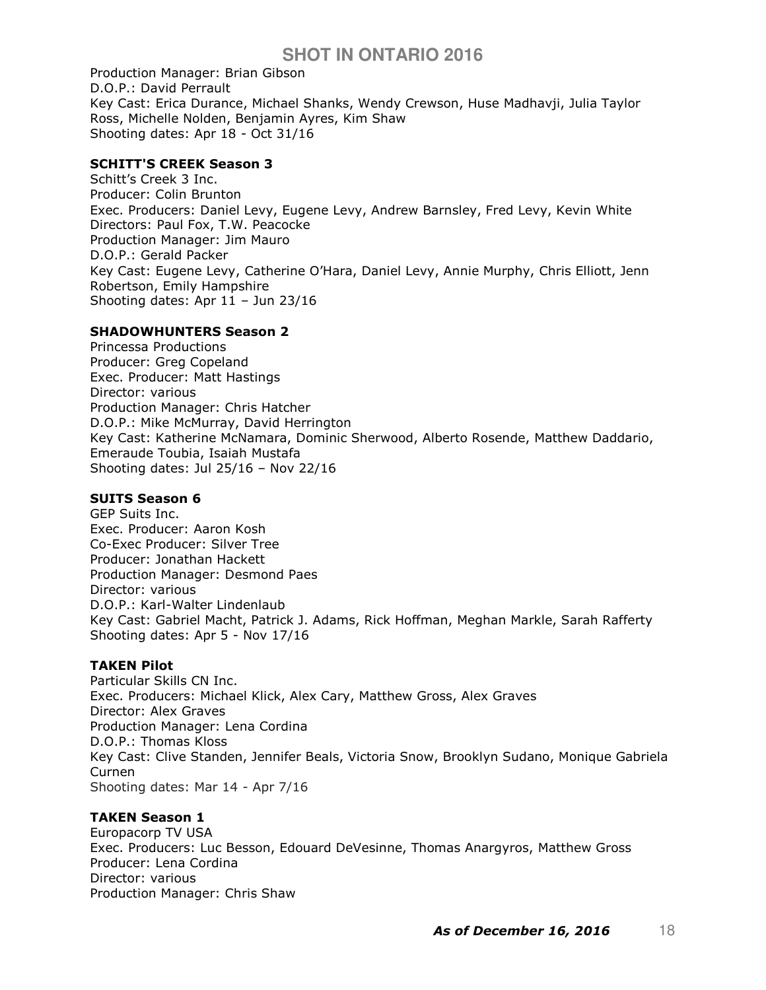Production Manager: Brian Gibson D.O.P.: David Perrault Key Cast: Erica Durance, Michael Shanks, Wendy Crewson, Huse Madhavji, Julia Taylor Ross, Michelle Nolden, Benjamin Ayres, Kim Shaw Shooting dates: Apr 18 - Oct 31/16

### SCHITT'S CREEK Season 3

Schitt's Creek 3 Inc. Producer: Colin Brunton Exec. Producers: Daniel Levy, Eugene Levy, Andrew Barnsley, Fred Levy, Kevin White Directors: Paul Fox, T.W. Peacocke Production Manager: Jim Mauro D.O.P.: Gerald Packer Key Cast: Eugene Levy, Catherine O'Hara, Daniel Levy, Annie Murphy, Chris Elliott, Jenn Robertson, Emily Hampshire Shooting dates: Apr 11 – Jun 23/16

## SHADOWHUNTERS Season 2

Princessa Productions Producer: Greg Copeland Exec. Producer: Matt Hastings Director: various Production Manager: Chris Hatcher D.O.P.: Mike McMurray, David Herrington Key Cast: Katherine McNamara, Dominic Sherwood, Alberto Rosende, Matthew Daddario, Emeraude Toubia, Isaiah Mustafa Shooting dates: Jul 25/16 – Nov 22/16

# SUITS Season 6

GEP Suits Inc. Exec. Producer: Aaron Kosh Co-Exec Producer: Silver Tree Producer: Jonathan Hackett Production Manager: Desmond Paes Director: various D.O.P.: Karl-Walter Lindenlaub Key Cast: Gabriel Macht, Patrick J. Adams, Rick Hoffman, Meghan Markle, Sarah Rafferty Shooting dates: Apr 5 - Nov 17/16

### TAKEN Pilot

Particular Skills CN Inc. Exec. Producers: Michael Klick, Alex Cary, Matthew Gross, Alex Graves Director: Alex Graves Production Manager: Lena Cordina D.O.P.: Thomas Kloss Key Cast: Clive Standen, Jennifer Beals, Victoria Snow, Brooklyn Sudano, Monique Gabriela Curnen Shooting dates: Mar 14 - Apr 7/16

# TAKEN Season 1

Europacorp TV USA Exec. Producers: Luc Besson, Edouard DeVesinne, Thomas Anargyros, Matthew Gross Producer: Lena Cordina Director: various Production Manager: Chris Shaw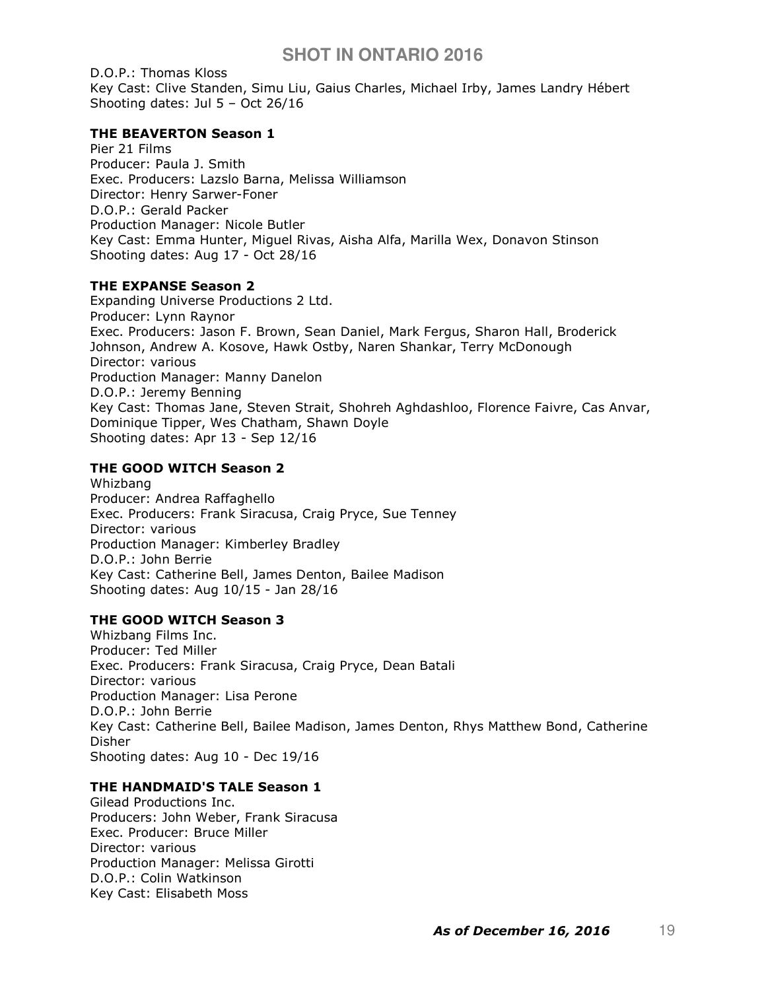D.O.P.: Thomas Kloss Key Cast: Clive Standen, Simu Liu, Gaius Charles, Michael Irby, James Landry Hébert Shooting dates: Jul 5 – Oct 26/16

## THE BEAVERTON Season 1

Pier 21 Films Producer: Paula J. Smith Exec. Producers: Lazslo Barna, Melissa Williamson Director: Henry Sarwer-Foner D.O.P.: Gerald Packer Production Manager: Nicole Butler Key Cast: Emma Hunter, Miguel Rivas, Aisha Alfa, Marilla Wex, Donavon Stinson Shooting dates: Aug 17 - Oct 28/16

## THE EXPANSE Season 2

Expanding Universe Productions 2 Ltd. Producer: Lynn Raynor Exec. Producers: Jason F. Brown, Sean Daniel, Mark Fergus, Sharon Hall, Broderick Johnson, Andrew A. Kosove, Hawk Ostby, Naren Shankar, Terry McDonough Director: various Production Manager: Manny Danelon D.O.P.: Jeremy Benning Key Cast: Thomas Jane, Steven Strait, Shohreh Aghdashloo, Florence Faivre, Cas Anvar, Dominique Tipper, Wes Chatham, Shawn Doyle Shooting dates: Apr 13 - Sep 12/16

# THE GOOD WITCH Season 2

Whizbang Producer: Andrea Raffaghello Exec. Producers: Frank Siracusa, Craig Pryce, Sue Tenney Director: various Production Manager: Kimberley Bradley D.O.P.: John Berrie Key Cast: Catherine Bell, James Denton, Bailee Madison Shooting dates: Aug 10/15 - Jan 28/16

# THE GOOD WITCH Season 3

Whizbang Films Inc. Producer: Ted Miller Exec. Producers: Frank Siracusa, Craig Pryce, Dean Batali Director: various Production Manager: Lisa Perone D.O.P.: John Berrie Key Cast: Catherine Bell, Bailee Madison, James Denton, Rhys Matthew Bond, Catherine Disher Shooting dates: Aug 10 - Dec 19/16

# THE HANDMAID'S TALE Season 1

Gilead Productions Inc. Producers: John Weber, Frank Siracusa Exec. Producer: Bruce Miller Director: various Production Manager: Melissa Girotti D.O.P.: Colin Watkinson Key Cast: Elisabeth Moss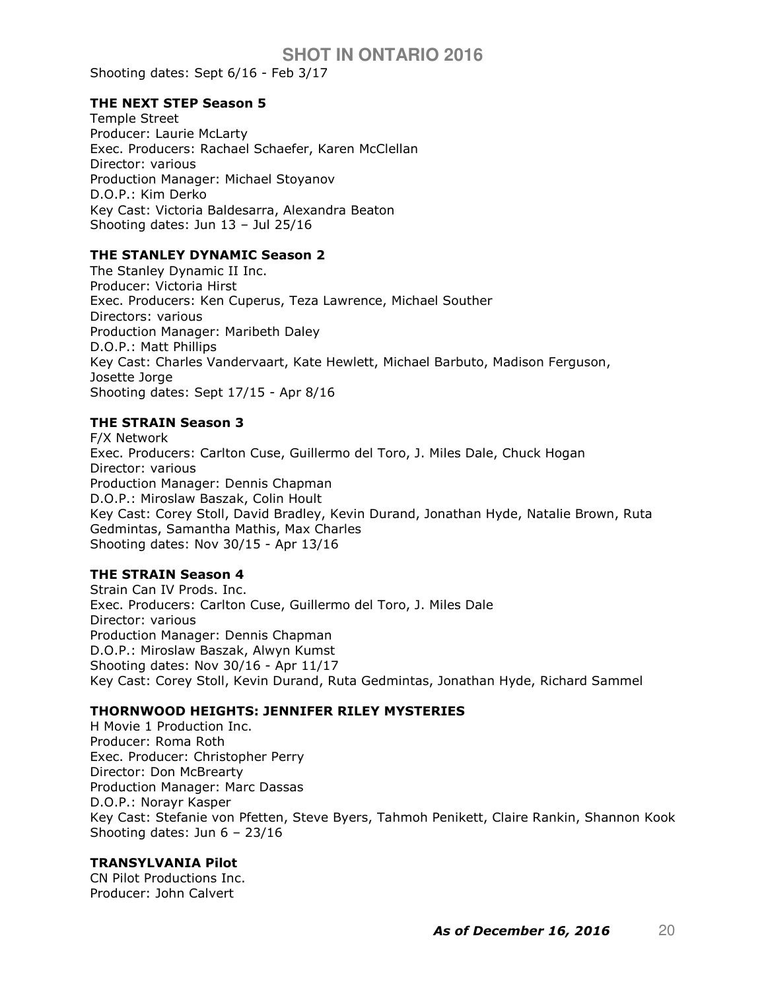Shooting dates: Sept 6/16 - Feb 3/17

### THE NEXT STEP Season 5

Temple Street Producer: Laurie McLarty Exec. Producers: Rachael Schaefer, Karen McClellan Director: various Production Manager: Michael Stoyanov D.O.P.: Kim Derko Key Cast: Victoria Baldesarra, Alexandra Beaton Shooting dates: Jun 13 – Jul 25/16

### THE STANLEY DYNAMIC Season 2

The Stanley Dynamic II Inc. Producer: Victoria Hirst Exec. Producers: Ken Cuperus, Teza Lawrence, Michael Souther Directors: various Production Manager: Maribeth Daley D.O.P.: Matt Phillips Key Cast: Charles Vandervaart, Kate Hewlett, Michael Barbuto, Madison Ferguson, Josette Jorge Shooting dates: Sept 17/15 - Apr 8/16

## THE STRAIN Season 3

F/X Network Exec. Producers: Carlton Cuse, Guillermo del Toro, J. Miles Dale, Chuck Hogan Director: various Production Manager: Dennis Chapman D.O.P.: Miroslaw Baszak, Colin Hoult Key Cast: Corey Stoll, David Bradley, Kevin Durand, Jonathan Hyde, Natalie Brown, Ruta Gedmintas, Samantha Mathis, Max Charles Shooting dates: Nov 30/15 - Apr 13/16

# THE STRAIN Season 4

Strain Can IV Prods. Inc. Exec. Producers: Carlton Cuse, Guillermo del Toro, J. Miles Dale Director: various Production Manager: Dennis Chapman D.O.P.: Miroslaw Baszak, Alwyn Kumst Shooting dates: Nov 30/16 - Apr 11/17 Key Cast: Corey Stoll, Kevin Durand, Ruta Gedmintas, Jonathan Hyde, Richard Sammel

### THORNWOOD HEIGHTS: JENNIFER RILEY MYSTERIES

H Movie 1 Production Inc. Producer: Roma Roth Exec. Producer: Christopher Perry Director: Don McBrearty Production Manager: Marc Dassas D.O.P.: Norayr Kasper Key Cast: Stefanie von Pfetten, Steve Byers, Tahmoh Penikett, Claire Rankin, Shannon Kook Shooting dates: Jun 6 – 23/16

## TRANSYLVANIA Pilot

CN Pilot Productions Inc. Producer: John Calvert